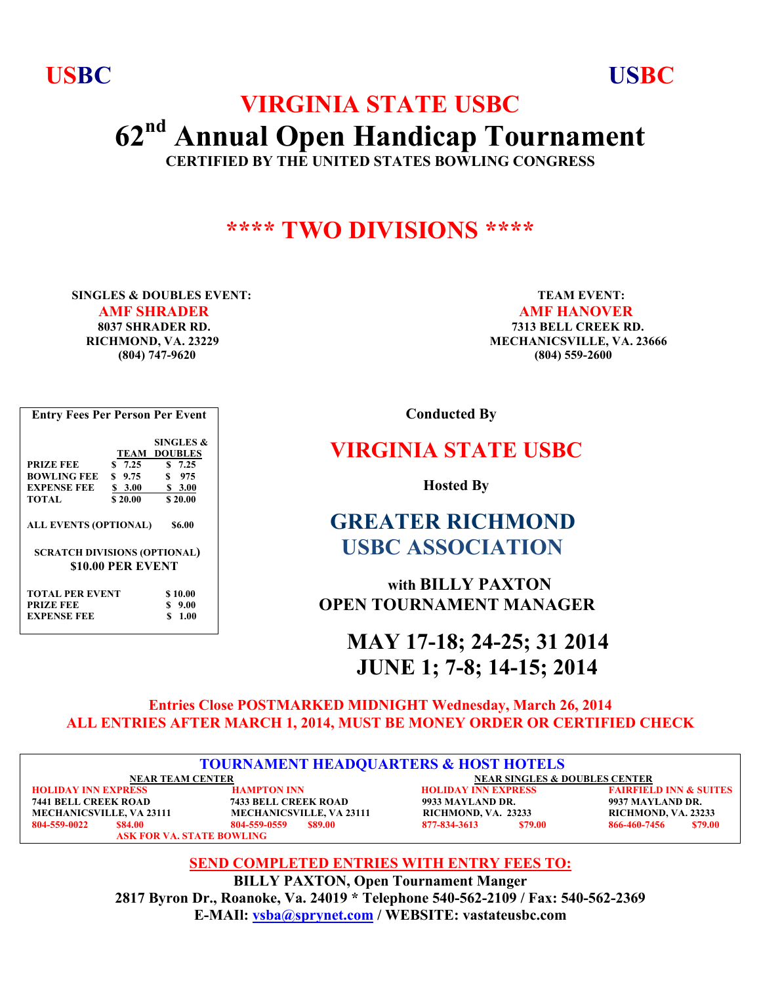**USBC USBC**

# **VIRGINIA STATE USBC 62nd Annual Open Handicap Tournament CERTIFIED BY THE UNITED STATES BOWLING CONGRESS**

## **\*\*\*\* TWO DIVISIONS \*\*\*\***

**SINGLES & DOUBLES EVENT:** TEAM EVENT: *AMF SHRADER* AMF HANOVER

 **8037 SHRADER RD. 7313 BELL CREEK RD. RICHMOND, VA. 23229 MECHANICSVILLE, VA. 23666 (804) 747-9620 (804) 559-2600**

 **Conducted By**

### **VIRGINIA STATE USBC**

 **Hosted By**

# **GREATER RICHMOND USBC ASSOCIATION**

 **with BILLY PAXTON OPEN TOURNAMENT MANAGER**

 **MAY 17-18; 24-25; 31 2014 JUNE 1; 7-8; 14-15; 2014** 

### **Entries Close POSTMARKED MIDNIGHT Wednesday, March 26, 2014 ALL ENTRIES AFTER MARCH 1, 2014, MUST BE MONEY ORDER OR CERTIFIED CHECK**

| <b>TOURNAMENT HEADQUARTERS &amp; HOST HOTELS</b> |                                  |                                 |                                          |                                   |  |  |  |  |
|--------------------------------------------------|----------------------------------|---------------------------------|------------------------------------------|-----------------------------------|--|--|--|--|
|                                                  | <b>NEAR TEAM CENTER</b>          |                                 | <b>NEAR SINGLES &amp; DOUBLES CENTER</b> |                                   |  |  |  |  |
| <b>HOLIDAY INN EXPRESS</b>                       |                                  | <b>HAMPTON INN</b>              | <b>HOLIDAY INN EXPRESS</b>               | <b>FAIRFIELD INN &amp; SUITES</b> |  |  |  |  |
| <b>7441 BELL CREEK ROAD</b>                      |                                  | <b>7433 BELL CREEK ROAD</b>     | 9933 MAYLAND DR.                         | 9937 MAYLAND DR.                  |  |  |  |  |
| <b>MECHANICSVILLE, VA 23111</b>                  |                                  | <b>MECHANICSVILLE, VA 23111</b> | RICHMOND, VA. 23233                      | RICHMOND, VA. 23233               |  |  |  |  |
| 804-559-0022                                     | \$84.00                          | \$89.00<br>804-559-0559         | 877-834-3613<br>\$79.00                  | 866-460-7456<br>\$79.00           |  |  |  |  |
|                                                  | <b>ASK FOR VA. STATE BOWLING</b> |                                 |                                          |                                   |  |  |  |  |

**SEND COMPLETED ENTRIES WITH ENTRY FEES TO: BILLY PAXTON, Open Tournament Manger 2817 Byron Dr., Roanoke, Va. 24019 \* Telephone 540-562-2109 / Fax: 540-562-2369 E-MAIl: vsba@sprynet.com / WEBSITE: vastateusbc.com**

**Entry Fees Per Person Per Event SINGLES & TEAM DOUBLES PRIZE FEE** \$ 7.25 \$ 7.25 **BOWLING FEE \$ 9.75 \$ 975 EXPENSE FEE**  $\frac{$3.00}{$20.00}$   $\frac{$3.00}{$20.00}$ **\$ 20.00 ALL EVENTS (OPTIONAL) \$6.00 SCRATCH DIVISIONS (OPTIONAL) \$10.00 PER EVENT TOTAL PER EVENT \$10.00 PRIZE FEE** \$ 9.00<br>EXPENSE FEE \$ 1.00 **EXPENSE FEE**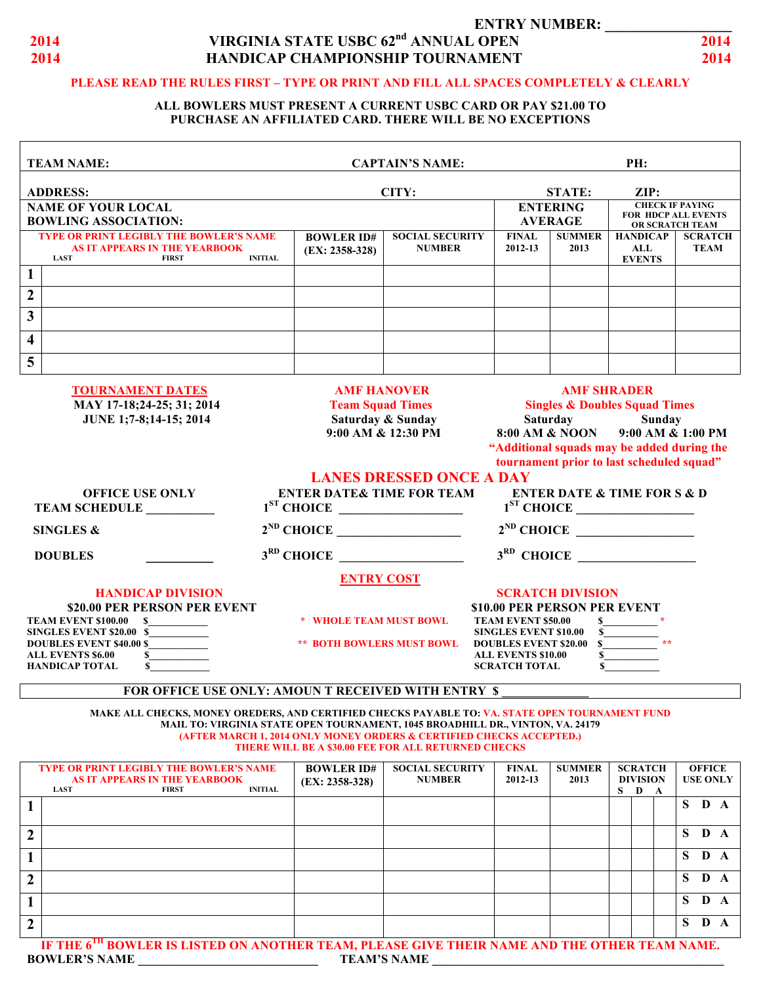

#### **ENTRY NUMBER: 2014 VIRGINIA STATE USBC 62<sup>nd</sup> ANNUAL OPEN 2014 2014 HANDICAP CHAMPIONSHIP TOURNAMENT 2014**

#### **PLEASE READ THE RULES FIRST – TYPE OR PRINT AND FILL ALL SPACES COMPLETELY & CLEARLY**

#### **ALL BOWLERS MUST PRESENT A CURRENT USBC CARD OR PAY \$21.00 TO PURCHASE AN AFFILIATED CARD. THERE WILL BE NO EXCEPTIONS**

| <b>TEAM NAME:</b>                                                                                                            |                                                         | <b>CAPTAIN'S NAME:</b>                                                                   |                                                                                                                                      |                                                                                                                                                                                                                                   | PH:                                     |                                                                         |  |  |  |
|------------------------------------------------------------------------------------------------------------------------------|---------------------------------------------------------|------------------------------------------------------------------------------------------|--------------------------------------------------------------------------------------------------------------------------------------|-----------------------------------------------------------------------------------------------------------------------------------------------------------------------------------------------------------------------------------|-----------------------------------------|-------------------------------------------------------------------------|--|--|--|
| <b>ADDRESS:</b><br><b>NAME OF YOUR LOCAL</b>                                                                                 |                                                         | CITY:                                                                                    |                                                                                                                                      | <b>STATE:</b><br><b>ENTERING</b>                                                                                                                                                                                                  |                                         | $\mathbf{ZIP:}$<br><b>CHECK IF PAYING</b><br><b>FOR HDCP ALL EVENTS</b> |  |  |  |
| <b>BOWLING ASSOCIATION:</b>                                                                                                  |                                                         |                                                                                          |                                                                                                                                      | <b>AVERAGE</b>                                                                                                                                                                                                                    | OR SCRATCH TEAM                         |                                                                         |  |  |  |
| <b>TYPE OR PRINT LEGIBLY THE BOWLER'S NAME</b><br><b>AS IT APPEARS IN THE YEARBOOK</b><br><b>LAST</b><br><b>FIRST</b>        | <b>BOWLER ID#</b><br>$(EX: 2358-328)$<br><b>INITIAL</b> | <b>SOCIAL SECURITY</b><br><b>NUMBER</b>                                                  | <b>FINAL</b><br>2012-13                                                                                                              | <b>SUMMER</b><br>2013                                                                                                                                                                                                             | <b>HANDICAP</b><br>ALL<br><b>EVENTS</b> | <b>SCRATCH</b><br><b>TEAM</b>                                           |  |  |  |
| $\mathbf{1}$                                                                                                                 |                                                         |                                                                                          |                                                                                                                                      |                                                                                                                                                                                                                                   |                                         |                                                                         |  |  |  |
| $\overline{2}$                                                                                                               |                                                         |                                                                                          |                                                                                                                                      |                                                                                                                                                                                                                                   |                                         |                                                                         |  |  |  |
| 3                                                                                                                            |                                                         |                                                                                          |                                                                                                                                      |                                                                                                                                                                                                                                   |                                         |                                                                         |  |  |  |
| $\overline{\mathbf{4}}$                                                                                                      |                                                         |                                                                                          |                                                                                                                                      |                                                                                                                                                                                                                                   |                                         |                                                                         |  |  |  |
| 5                                                                                                                            |                                                         |                                                                                          |                                                                                                                                      |                                                                                                                                                                                                                                   |                                         |                                                                         |  |  |  |
| <b>TOURNAMENT DATES</b><br>MAY 17-18;24-25; 31; 2014<br>JUNE 1;7-8;14-15; 2014                                               |                                                         | <b>AMF HANOVER</b><br><b>Team Squad Times</b><br>Saturday & Sunday<br>9:00 AM & 12:30 PM |                                                                                                                                      | <b>AMF SHRADER</b><br><b>Singles &amp; Doubles Squad Times</b><br>Saturday<br><b>Sunday</b><br>8:00 AM & NOON<br>$9:00$ AM & $1:00$ PM<br>"Additional squads may be added during the<br>tournament prior to last scheduled squad" |                                         |                                                                         |  |  |  |
| <b>OFFICE USE ONLY</b><br><b>TEAM SCHEDULE</b>                                                                               |                                                         | <b>LANES DRESSED ONCE A DAY</b><br><b>ENTER DATE&amp; TIME FOR TEAM</b><br>$1ST$ CHOICE  |                                                                                                                                      | <b>ENTER DATE &amp; TIME FOR S &amp; D</b><br>$1ST$ CHOICE                                                                                                                                                                        |                                         |                                                                         |  |  |  |
| <b>SINGLES &amp;</b>                                                                                                         | $2^{ND}$ CHOICE                                         |                                                                                          | $2^{ND}$ CHOICE                                                                                                                      |                                                                                                                                                                                                                                   |                                         |                                                                         |  |  |  |
| <b>DOUBLES</b>                                                                                                               | $3RD$ CHOICE                                            |                                                                                          |                                                                                                                                      |                                                                                                                                                                                                                                   |                                         |                                                                         |  |  |  |
|                                                                                                                              | <b>ENTRY COST</b>                                       |                                                                                          |                                                                                                                                      |                                                                                                                                                                                                                                   |                                         |                                                                         |  |  |  |
| <b>HANDICAP DIVISION</b><br>\$20.00 PER PERSON PER EVENT<br><b>TEAM EVENT \$100.00 \$</b><br><b>SINGLES EVENT \$20.00 \$</b> | * WHOLE TEAM MUST BOWL                                  |                                                                                          | <b>SCRATCH DIVISION</b><br>\$10.00 PER PERSON PER EVENT<br><b>TEAM EVENT \$50.00</b><br>$\mathbf{s}$<br><b>SINGLES EVENT \$10.00</b> |                                                                                                                                                                                                                                   |                                         |                                                                         |  |  |  |
| <b>DOUBLES EVENT \$40.00 \$</b><br><b>ALL EVENTS \$6.00</b><br>S.                                                            | <b>** BOTH BOWLERS MUST BOWL</b>                        |                                                                                          | <b>DOUBLES EVENT \$20.00 \$</b><br>$\mathbf{s}$<br><b>ALL EVENTS \$10.00</b>                                                         |                                                                                                                                                                                                                                   |                                         |                                                                         |  |  |  |

#### **FOR OFFICE USE ONLY: AMOUN T RECEIVED WITH ENTRY \$**

**HANDICAP TOTAL 5 SCRATCH TOTAL 5** 

**MAKE ALL CHECKS, MONEY OREDERS, AND CERTIFIED CHECKS PAYABLE TO: VA. STATE OPEN TOURNAMENT FUND MAIL TO: VIRGINIA STATE OPEN TOURNAMENT, 1045 BROADHILL DR., VINTON, VA. 24179 (AFTER MARCH 1, 2014 ONLY MONEY ORDERS & CERTIFIED CHECKS ACCEPTED.) THERE WILL BE A \$30.00 FEE FOR ALL RETURNED CHECKS**

|                  | <b>TYPE OR PRINT LEGIBLY THE BOWLER'S NAME</b>                                                           |  | <b>BOWLER ID#</b> | <b>SOCIAL SECURITY</b> | <b>FINAL</b> | <b>SUMMER</b> |                 | <b>SCRATCH</b> |   |   | <b>OFFICE</b>   |   |  |
|------------------|----------------------------------------------------------------------------------------------------------|--|-------------------|------------------------|--------------|---------------|-----------------|----------------|---|---|-----------------|---|--|
|                  | AS IT APPEARS IN THE YEARBOOK                                                                            |  |                   | <b>NUMBER</b>          | 2012-13      | 2013          | <b>DIVISION</b> |                |   |   | <b>USE ONLY</b> |   |  |
|                  | <b>LAST</b><br><b>INITIAL</b><br><b>FIRST</b>                                                            |  | $(EX: 2358-328)$  |                        |              |               |                 |                |   |   |                 |   |  |
|                  |                                                                                                          |  |                   |                        |              |               | S.              | D              | A |   |                 |   |  |
|                  |                                                                                                          |  |                   |                        |              |               |                 |                |   | S | D A             |   |  |
|                  |                                                                                                          |  |                   |                        |              |               |                 |                |   |   |                 |   |  |
|                  |                                                                                                          |  |                   |                        |              |               |                 |                |   |   |                 |   |  |
| $\mathbf{2}$     |                                                                                                          |  |                   |                        |              |               |                 |                |   | S | D               | A |  |
|                  |                                                                                                          |  |                   |                        |              |               |                 |                |   |   |                 |   |  |
|                  |                                                                                                          |  |                   |                        |              |               |                 |                |   | S | D               |   |  |
|                  |                                                                                                          |  |                   |                        |              |               |                 |                |   |   |                 |   |  |
|                  |                                                                                                          |  |                   |                        |              |               |                 |                |   |   |                 |   |  |
| $\boldsymbol{2}$ |                                                                                                          |  |                   |                        |              |               |                 |                |   | S | D               |   |  |
|                  |                                                                                                          |  |                   |                        |              |               |                 |                |   |   |                 |   |  |
|                  |                                                                                                          |  |                   |                        |              |               |                 |                |   | S | D               |   |  |
|                  |                                                                                                          |  |                   |                        |              |               |                 |                |   |   |                 |   |  |
|                  |                                                                                                          |  |                   |                        |              |               |                 |                |   |   |                 |   |  |
| $\boldsymbol{2}$ |                                                                                                          |  |                   |                        |              |               |                 |                |   | S | D               | A |  |
|                  |                                                                                                          |  |                   |                        |              |               |                 |                |   |   |                 |   |  |
|                  | IF THE 6 <sup>TH</sup> BOWLER IS LISTED ON ANOTHER TEAM, PLEASE GIVE THEIR NAME AND THE OTHER TEAM NAME. |  |                   |                        |              |               |                 |                |   |   |                 |   |  |